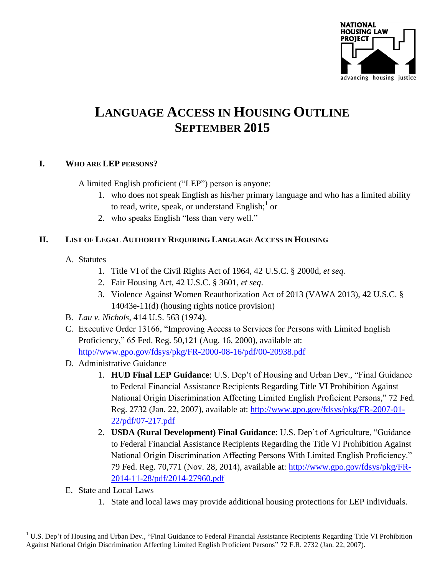

# **LANGUAGE ACCESS IN HOUSING OUTLINE SEPTEMBER 2015**

## **I. WHO ARE LEP PERSONS?**

A limited English proficient ("LEP") person is anyone:

- 1. who does not speak English as his/her primary language and who has a limited ability to read, write, speak, or understand English;<sup>1</sup> or
- 2. who speaks English "less than very well."

## **II. LIST OF LEGAL AUTHORITY REQUIRING LANGUAGE ACCESS IN HOUSING**

- A. Statutes
	- 1. Title VI of the Civil Rights Act of 1964, 42 U.S.C. § 2000d, *et seq.*
	- 2. Fair Housing Act, 42 U.S.C. § 3601, *et seq*.
	- 3. Violence Against Women Reauthorization Act of 2013 (VAWA 2013), 42 U.S.C. § 14043e-11(d) (housing rights notice provision)
- B. *Lau v. Nichols*, 414 U.S. 563 (1974).
- C. Executive Order 13166, "Improving Access to Services for Persons with Limited English Proficiency," 65 Fed. Reg. 50,121 (Aug. 16, 2000), available at: <http://www.gpo.gov/fdsys/pkg/FR-2000-08-16/pdf/00-20938.pdf>
- D. Administrative Guidance
	- 1. **HUD Final LEP Guidance**: U.S. Dep't of Housing and Urban Dev., "Final Guidance to Federal Financial Assistance Recipients Regarding Title VI Prohibition Against National Origin Discrimination Affecting Limited English Proficient Persons," 72 Fed. Reg. 2732 (Jan. 22, 2007), available at: [http://www.gpo.gov/fdsys/pkg/FR-2007-01-](http://www.gpo.gov/fdsys/pkg/FR-2007-01-22/pdf/07-217.pdf) [22/pdf/07-217.pdf](http://www.gpo.gov/fdsys/pkg/FR-2007-01-22/pdf/07-217.pdf)
	- 2. **USDA (Rural Development) Final Guidance**: U.S. Dep't of Agriculture, "Guidance to Federal Financial Assistance Recipients Regarding the Title VI Prohibition Against National Origin Discrimination Affecting Persons With Limited English Proficiency." 79 Fed. Reg. 70,771 (Nov. 28, 2014), available at: [http://www.gpo.gov/fdsys/pkg/FR-](http://www.gpo.gov/fdsys/pkg/FR-2014-11-28/pdf/2014-27960.pdf)[2014-11-28/pdf/2014-27960.pdf](http://www.gpo.gov/fdsys/pkg/FR-2014-11-28/pdf/2014-27960.pdf)
- E. State and Local Laws

 $\overline{a}$ 

1. State and local laws may provide additional housing protections for LEP individuals.

<sup>&</sup>lt;sup>1</sup> U.S. Dep't of Housing and Urban Dev., "Final Guidance to Federal Financial Assistance Recipients Regarding Title VI Prohibition Against National Origin Discrimination Affecting Limited English Proficient Persons" 72 F.R. 2732 (Jan. 22, 2007).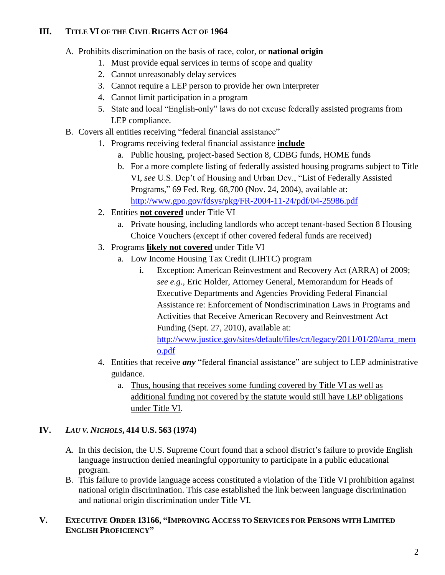## **III. TITLE VI OF THE CIVIL RIGHTS ACT OF 1964**

- A. Prohibits discrimination on the basis of race, color, or **national origin**
	- 1. Must provide equal services in terms of scope and quality
	- 2. Cannot unreasonably delay services
	- 3. Cannot require a LEP person to provide her own interpreter
	- 4. Cannot limit participation in a program
	- 5. State and local "English-only" laws do not excuse federally assisted programs from LEP compliance.
- B. Covers all entities receiving "federal financial assistance"
	- 1. Programs receiving federal financial assistance **include**
		- a. Public housing, project-based Section 8, CDBG funds, HOME funds
		- b. For a more complete listing of federally assisted housing programs subject to Title VI, *see* U.S. Dep't of Housing and Urban Dev., "List of Federally Assisted Programs," 69 Fed. Reg. 68,700 (Nov. 24, 2004), available at: <http://www.gpo.gov/fdsys/pkg/FR-2004-11-24/pdf/04-25986.pdf>
	- 2. Entities **not covered** under Title VI
		- a. Private housing, including landlords who accept tenant-based Section 8 Housing Choice Vouchers (except if other covered federal funds are received)
	- 3. Programs **likely not covered** under Title VI
		- a. Low Income Housing Tax Credit (LIHTC) program
			- i. Exception: American Reinvestment and Recovery Act (ARRA) of 2009; *see e.g.,* Eric Holder, Attorney General, Memorandum for Heads of Executive Departments and Agencies Providing Federal Financial Assistance re: Enforcement of Nondiscrimination Laws in Programs and Activities that Receive American Recovery and Reinvestment Act Funding (Sept. 27, 2010), available at: [http://www.justice.gov/sites/default/files/crt/legacy/2011/01/20/arra\\_mem](http://www.justice.gov/sites/default/files/crt/legacy/2011/01/20/arra_memo.pdf) [o.pdf](http://www.justice.gov/sites/default/files/crt/legacy/2011/01/20/arra_memo.pdf)
	- 4. Entities that receive *any* "federal financial assistance" are subject to LEP administrative guidance.
		- a. Thus, housing that receives some funding covered by Title VI as well as additional funding not covered by the statute would still have LEP obligations under Title VI.

## **IV.** *LAU V. NICHOLS***, 414 U.S. 563 (1974)**

- A. In this decision, the U.S. Supreme Court found that a school district's failure to provide English language instruction denied meaningful opportunity to participate in a public educational program.
- B. This failure to provide language access constituted a violation of the Title VI prohibition against national origin discrimination. This case established the link between language discrimination and national origin discrimination under Title VI.

#### **V. EXECUTIVE ORDER 13166, "IMPROVING ACCESS TO SERVICES FOR PERSONS WITH LIMITED ENGLISH PROFICIENCY"**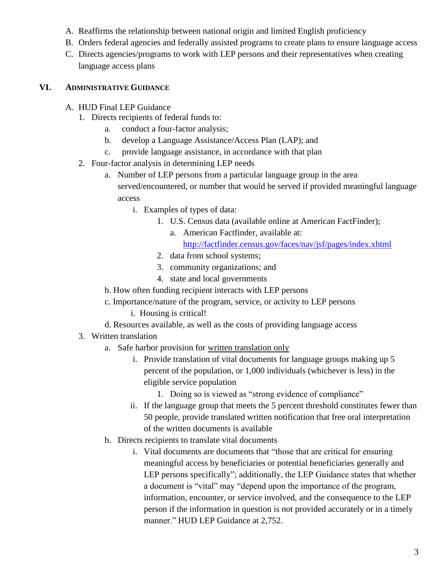- A. Reaffirms the relationship between national origin and limited English proficiency
- B. Orders federal agencies and federally assisted programs to create plans to ensure language access
- C. Directs agencies/programs to work with LEP persons and their representatives when creating language access plans

## **VI. ADMINISTRATIVE GUIDANCE**

- A. HUD Final LEP Guidance
	- 1. Directs recipients of federal funds to:
		- a. conduct a four-factor analysis;
		- b. develop a Language Assistance/Access Plan (LAP); and
		- c. provide language assistance, in accordance with that plan
	- 2. Four-factor analysis in determining LEP needs
		- a. Number of LEP persons from a particular language group in the area served/encountered, or number that would be served if provided meaningful language access
			- i. Examples of types of data:
				- 1. U.S. Census data (available online at American FactFinder);
					- a. American Factfinder, available at:

<http://factfinder.census.gov/faces/nav/jsf/pages/index.xhtml>

- 2. data from school systems;
- 3. community organizations; and
- 4. state and local governments
- b. How often funding recipient interacts with LEP persons
- c. Importance/nature of the program, service, or activity to LEP persons
	- i. Housing is critical!
- d. Resources available, as well as the costs of providing language access
- 3. Written translation
	- a. Safe harbor provision for written translation only
		- i. Provide translation of vital documents for language groups making up 5 percent of the population, or 1,000 individuals (whichever is less) in the eligible service population
			- 1. Doing so is viewed as "strong evidence of compliance"
		- ii. If the language group that meets the 5 percent threshold constitutes fewer than 50 people, provide translated written notification that free oral interpretation of the written documents is available
	- b. Directs recipients to translate vital documents
		- i. Vital documents are documents that "those that are critical for ensuring meaningful access by beneficiaries or potential beneficiaries generally and LEP persons specifically"; additionally, the LEP Guidance states that whether a document is "vital" may "depend upon the importance of the program, information, encounter, or service involved, and the consequence to the LEP person if the information in question is not provided accurately or in a timely manner." HUD LEP Guidance at 2,752.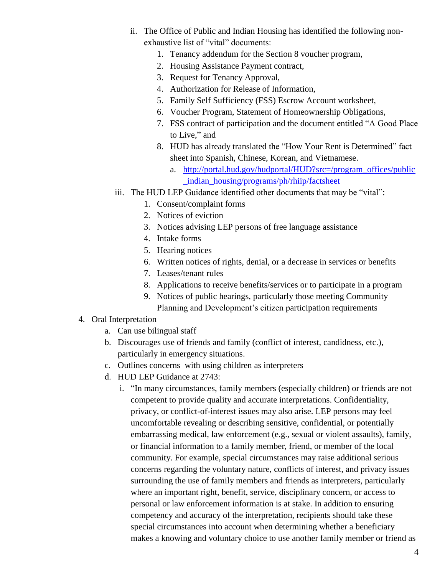- ii. The Office of Public and Indian Housing has identified the following nonexhaustive list of "vital" documents:
	- 1. Tenancy addendum for the Section 8 voucher program,
	- 2. Housing Assistance Payment contract,
	- 3. Request for Tenancy Approval,
	- 4. Authorization for Release of Information,
	- 5. Family Self Sufficiency (FSS) Escrow Account worksheet,
	- 6. Voucher Program, Statement of Homeownership Obligations,
	- 7. FSS contract of participation and the document entitled "A Good Place to Live," and
	- 8. HUD has already translated the "How Your Rent is Determined" fact sheet into Spanish, Chinese, Korean, and Vietnamese.
		- a. [http://portal.hud.gov/hudportal/HUD?src=/program\\_offices/public](http://portal.hud.gov/hudportal/HUD?src=/program_offices/public_indian_housing/programs/ph/rhiip/factsheet) [\\_indian\\_housing/programs/ph/rhiip/factsheet](http://portal.hud.gov/hudportal/HUD?src=/program_offices/public_indian_housing/programs/ph/rhiip/factsheet)
- iii. The HUD LEP Guidance identified other documents that may be "vital":
	- 1. Consent/complaint forms
	- 2. Notices of eviction
	- 3. Notices advising LEP persons of free language assistance
	- 4. Intake forms
	- 5. Hearing notices
	- 6. Written notices of rights, denial, or a decrease in services or benefits
	- 7. Leases/tenant rules
	- 8. Applications to receive benefits/services or to participate in a program
	- 9. Notices of public hearings, particularly those meeting Community Planning and Development's citizen participation requirements
- 4. Oral Interpretation
	- a. Can use bilingual staff
	- b. Discourages use of friends and family (conflict of interest, candidness, etc.), particularly in emergency situations.
	- c. Outlines concerns with using children as interpreters
	- d. HUD LEP Guidance at 2743:
		- i. "In many circumstances, family members (especially children) or friends are not competent to provide quality and accurate interpretations. Confidentiality, privacy, or conflict-of-interest issues may also arise. LEP persons may feel uncomfortable revealing or describing sensitive, confidential, or potentially embarrassing medical, law enforcement (e.g., sexual or violent assaults), family, or financial information to a family member, friend, or member of the local community. For example, special circumstances may raise additional serious concerns regarding the voluntary nature, conflicts of interest, and privacy issues surrounding the use of family members and friends as interpreters, particularly where an important right, benefit, service, disciplinary concern, or access to personal or law enforcement information is at stake. In addition to ensuring competency and accuracy of the interpretation, recipients should take these special circumstances into account when determining whether a beneficiary makes a knowing and voluntary choice to use another family member or friend as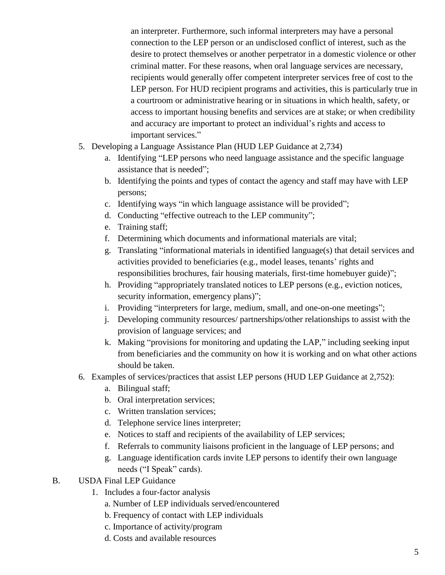an interpreter. Furthermore, such informal interpreters may have a personal connection to the LEP person or an undisclosed conflict of interest, such as the desire to protect themselves or another perpetrator in a domestic violence or other criminal matter. For these reasons, when oral language services are necessary, recipients would generally offer competent interpreter services free of cost to the LEP person. For HUD recipient programs and activities, this is particularly true in a courtroom or administrative hearing or in situations in which health, safety, or access to important housing benefits and services are at stake; or when credibility and accuracy are important to protect an individual's rights and access to important services."

- 5. Developing a Language Assistance Plan (HUD LEP Guidance at 2,734)
	- a. Identifying "LEP persons who need language assistance and the specific language assistance that is needed";
	- b. Identifying the points and types of contact the agency and staff may have with LEP persons;
	- c. Identifying ways "in which language assistance will be provided";
	- d. Conducting "effective outreach to the LEP community";
	- e. Training staff;
	- f. Determining which documents and informational materials are vital;
	- g. Translating "informational materials in identified language(s) that detail services and activities provided to beneficiaries (e.g., model leases, tenants' rights and responsibilities brochures, fair housing materials, first-time homebuyer guide)";
	- h. Providing "appropriately translated notices to LEP persons (e.g., eviction notices, security information, emergency plans)";
	- i. Providing "interpreters for large, medium, small, and one-on-one meetings";
	- j. Developing community resources/ partnerships/other relationships to assist with the provision of language services; and
	- k. Making "provisions for monitoring and updating the LAP," including seeking input from beneficiaries and the community on how it is working and on what other actions should be taken.
- 6. Examples of services/practices that assist LEP persons (HUD LEP Guidance at 2,752):
	- a. Bilingual staff;
	- b. Oral interpretation services;
	- c. Written translation services;
	- d. Telephone service lines interpreter;
	- e. Notices to staff and recipients of the availability of LEP services;
	- f. Referrals to community liaisons proficient in the language of LEP persons; and
	- g. Language identification cards invite LEP persons to identify their own language needs ("I Speak" cards).
- B. USDA Final LEP Guidance
	- 1. Includes a four-factor analysis
		- a. Number of LEP individuals served/encountered
		- b. Frequency of contact with LEP individuals
		- c. Importance of activity/program
		- d. Costs and available resources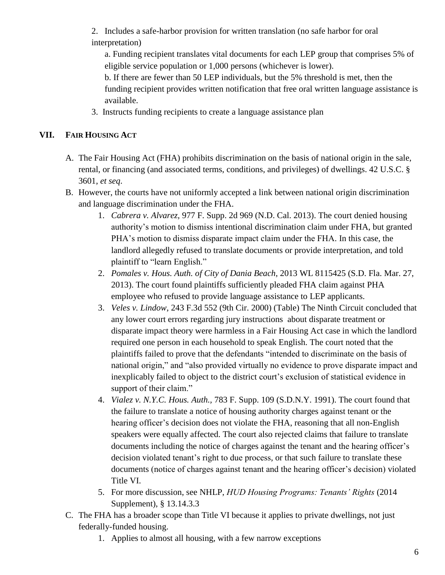2. Includes a safe-harbor provision for written translation (no safe harbor for oral interpretation)

a. Funding recipient translates vital documents for each LEP group that comprises 5% of eligible service population or 1,000 persons (whichever is lower).

b. If there are fewer than 50 LEP individuals, but the 5% threshold is met, then the funding recipient provides written notification that free oral written language assistance is available.

3. Instructs funding recipients to create a language assistance plan

#### **VII. FAIR HOUSING ACT**

- A. The Fair Housing Act (FHA) prohibits discrimination on the basis of national origin in the sale, rental, or financing (and associated terms, conditions, and privileges) of dwellings. 42 U.S.C. § 3601, *et seq*.
- B. However, the courts have not uniformly accepted a link between national origin discrimination and language discrimination under the FHA.
	- 1. *Cabrera v. Alvarez,* 977 F. Supp. 2d 969 (N.D. Cal. 2013). The court denied housing authority's motion to dismiss intentional discrimination claim under FHA, but granted PHA's motion to dismiss disparate impact claim under the FHA. In this case, the landlord allegedly refused to translate documents or provide interpretation, and told plaintiff to "learn English."
	- 2. *Pomales v. Hous. Auth. of City of Dania Beach*, 2013 WL 8115425 (S.D. Fla. Mar. 27, 2013). The court found plaintiffs sufficiently pleaded FHA claim against PHA employee who refused to provide language assistance to LEP applicants.
	- 3. *Veles v. Lindow*, 243 F.3d 552 (9th Cir. 2000) (Table) The Ninth Circuit concluded that any lower court errors regarding jury instructions about disparate treatment or disparate impact theory were harmless in a Fair Housing Act case in which the landlord required one person in each household to speak English. The court noted that the plaintiffs failed to prove that the defendants "intended to discriminate on the basis of national origin," and "also provided virtually no evidence to prove disparate impact and inexplicably failed to object to the district court's exclusion of statistical evidence in support of their claim."
	- 4. *Vialez v. N.Y.C. Hous. Auth.,* 783 F. Supp. 109 (S.D.N.Y. 1991). The court found that the failure to translate a notice of housing authority charges against tenant or the hearing officer's decision does not violate the FHA, reasoning that all non-English speakers were equally affected. The court also rejected claims that failure to translate documents including the notice of charges against the tenant and the hearing officer's decision violated tenant's right to due process, or that such failure to translate these documents (notice of charges against tenant and the hearing officer's decision) violated Title VI.
	- 5. For more discussion, see NHLP, *HUD Housing Programs: Tenants' Rights* (2014 Supplement), § 13.14.3.3
- C. The FHA has a broader scope than Title VI because it applies to private dwellings, not just federally-funded housing.
	- 1. Applies to almost all housing, with a few narrow exceptions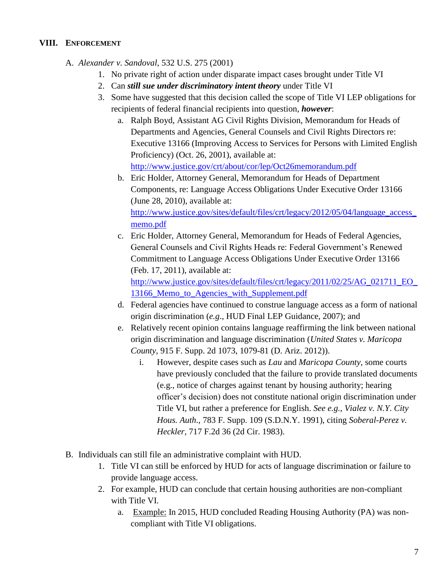#### **VIII. ENFORCEMENT**

A. *Alexander v. Sandoval,* 532 U.S. 275 (2001)

- 1. No private right of action under disparate impact cases brought under Title VI
- 2. Can *still sue under discriminatory intent theory* under Title VI
- 3. Some have suggested that this decision called the scope of Title VI LEP obligations for recipients of federal financial recipients into question, *however*:
	- a. Ralph Boyd, Assistant AG Civil Rights Division, Memorandum for Heads of Departments and Agencies, General Counsels and Civil Rights Directors re: Executive 13166 (Improving Access to Services for Persons with Limited English Proficiency) (Oct. 26, 2001), available at: <http://www.justice.gov/crt/about/cor/lep/Oct26memorandum.pdf>
	- b. Eric Holder, Attorney General, Memorandum for Heads of Department Components, re: Language Access Obligations Under Executive Order 13166 (June 28, 2010), available at: [http://www.justice.gov/sites/default/files/crt/legacy/2012/05/04/language\\_access\\_](http://www.justice.gov/sites/default/files/crt/legacy/2012/05/04/language_access_memo.pdf) [memo.pdf](http://www.justice.gov/sites/default/files/crt/legacy/2012/05/04/language_access_memo.pdf)
	- c. Eric Holder, Attorney General, Memorandum for Heads of Federal Agencies, General Counsels and Civil Rights Heads re: Federal Government's Renewed Commitment to Language Access Obligations Under Executive Order 13166 (Feb. 17, 2011), available at:

[http://www.justice.gov/sites/default/files/crt/legacy/2011/02/25/AG\\_021711\\_EO\\_](http://www.justice.gov/sites/default/files/crt/legacy/2011/02/25/AG_021711_EO_13166_Memo_to_Agencies_with_Supplement.pdf) [13166\\_Memo\\_to\\_Agencies\\_with\\_Supplement.pdf](http://www.justice.gov/sites/default/files/crt/legacy/2011/02/25/AG_021711_EO_13166_Memo_to_Agencies_with_Supplement.pdf)

- d. Federal agencies have continued to construe language access as a form of national origin discrimination (*e.g*., HUD Final LEP Guidance, 2007); and
- e. Relatively recent opinion contains language reaffirming the link between national origin discrimination and language discrimination (*United States v. Maricopa County,* 915 F. Supp. 2d 1073, 1079-81 (D. Ariz. 2012)).
	- i. However, despite cases such as *Lau* and *Maricopa County*, some courts have previously concluded that the failure to provide translated documents (e.g., notice of charges against tenant by housing authority; hearing officer's decision) does not constitute national origin discrimination under Title VI, but rather a preference for English. *See e.g., Vialez v. N.Y. City Hous. Auth*., 783 F. Supp. 109 (S.D.N.Y. 1991), citing *Soberal-Perez v. Heckler*, 717 F.2d 36 (2d Cir. 1983).
- B. Individuals can still file an administrative complaint with HUD.
	- 1. Title VI can still be enforced by HUD for acts of language discrimination or failure to provide language access.
	- 2. For example, HUD can conclude that certain housing authorities are non-compliant with Title VI.
		- a. Example: In 2015, HUD concluded Reading Housing Authority (PA) was noncompliant with Title VI obligations.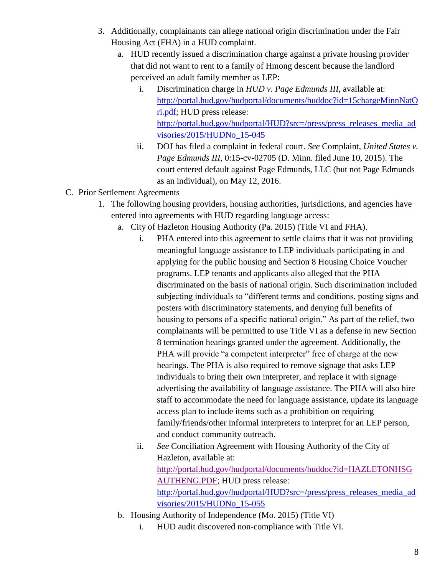- 3. Additionally, complainants can allege national origin discrimination under the Fair Housing Act (FHA) in a HUD complaint.
	- a. HUD recently issued a discrimination charge against a private housing provider that did not want to rent to a family of Hmong descent because the landlord perceived an adult family member as LEP:
		- i. Discrimination charge in *HUD v. Page Edmunds III*, available at: [http://portal.hud.gov/hudportal/documents/huddoc?id=15chargeMinnNatO](http://portal.hud.gov/hudportal/documents/huddoc?id=15chargeMinnNatOri.pdf) [ri.pdf;](http://portal.hud.gov/hudportal/documents/huddoc?id=15chargeMinnNatOri.pdf) HUD press release: [http://portal.hud.gov/hudportal/HUD?src=/press/press\\_releases\\_media\\_ad](http://portal.hud.gov/hudportal/HUD?src=/press/press_releases_media_advisories/2015/HUDNo_15-045) [visories/2015/HUDNo\\_15-045](http://portal.hud.gov/hudportal/HUD?src=/press/press_releases_media_advisories/2015/HUDNo_15-045)
		- ii. DOJ has filed a complaint in federal court. *See* Complaint, *United States v. Page Edmunds III*, 0:15-cv-02705 (D. Minn. filed June 10, 2015). The court entered default against Page Edmunds, LLC (but not Page Edmunds as an individual), on May 12, 2016.
- C. Prior Settlement Agreements
	- 1. The following housing providers, housing authorities, jurisdictions, and agencies have entered into agreements with HUD regarding language access:
		- a. City of Hazleton Housing Authority (Pa. 2015) (Title VI and FHA).
			- i. PHA entered into this agreement to settle claims that it was not providing meaningful language assistance to LEP individuals participating in and applying for the public housing and Section 8 Housing Choice Voucher programs. LEP tenants and applicants also alleged that the PHA discriminated on the basis of national origin. Such discrimination included subjecting individuals to "different terms and conditions, posting signs and posters with discriminatory statements, and denying full benefits of housing to persons of a specific national origin." As part of the relief, two complainants will be permitted to use Title VI as a defense in new Section 8 termination hearings granted under the agreement. Additionally, the PHA will provide "a competent interpreter" free of charge at the new hearings. The PHA is also required to remove signage that asks LEP individuals to bring their own interpreter, and replace it with signage advertising the availability of language assistance. The PHA will also hire staff to accommodate the need for language assistance, update its language access plan to include items such as a prohibition on requiring family/friends/other informal interpreters to interpret for an LEP person, and conduct community outreach.
			- ii. *See* Conciliation Agreement with Housing Authority of the City of Hazleton, available at: [http://portal.hud.gov/hudportal/documents/huddoc?id=HAZLETONHSG](http://portal.hud.gov/hudportal/documents/huddoc?id=HAZLETONHSGAUTHENG.PDF) [AUTHENG.PDF;](http://portal.hud.gov/hudportal/documents/huddoc?id=HAZLETONHSGAUTHENG.PDF) HUD press release: [http://portal.hud.gov/hudportal/HUD?src=/press/press\\_releases\\_media\\_ad](http://portal.hud.gov/hudportal/HUD?src=/press/press_releases_media_advisories/2015/HUDNo_15-055) [visories/2015/HUDNo\\_15-055](http://portal.hud.gov/hudportal/HUD?src=/press/press_releases_media_advisories/2015/HUDNo_15-055)
		- b. Housing Authority of Independence (Mo. 2015) (Title VI)
			- i. HUD audit discovered non-compliance with Title VI.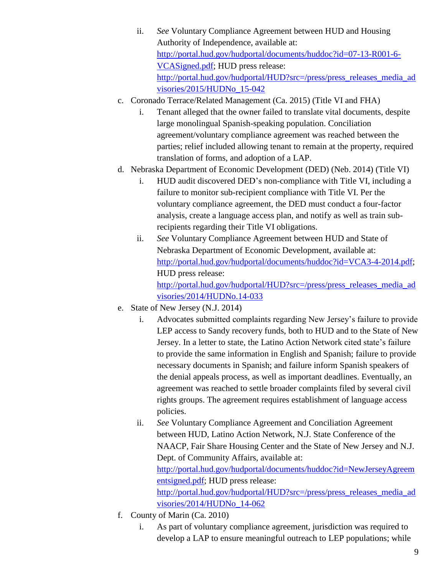- ii. *See* Voluntary Compliance Agreement between HUD and Housing Authority of Independence, available at: [http://portal.hud.gov/hudportal/documents/huddoc?id=07-13-R001-6-](http://portal.hud.gov/hudportal/documents/huddoc?id=07-13-R001-6-VCASigned.pdf) [VCASigned.pdf;](http://portal.hud.gov/hudportal/documents/huddoc?id=07-13-R001-6-VCASigned.pdf) HUD press release: [http://portal.hud.gov/hudportal/HUD?src=/press/press\\_releases\\_media\\_ad](http://portal.hud.gov/hudportal/HUD?src=/press/press_releases_media_advisories/2015/HUDNo_15-042) [visories/2015/HUDNo\\_15-042](http://portal.hud.gov/hudportal/HUD?src=/press/press_releases_media_advisories/2015/HUDNo_15-042)
- c. Coronado Terrace/Related Management (Ca. 2015) (Title VI and FHA)
	- i. Tenant alleged that the owner failed to translate vital documents, despite large monolingual Spanish-speaking population. Conciliation agreement/voluntary compliance agreement was reached between the parties; relief included allowing tenant to remain at the property, required translation of forms, and adoption of a LAP.
- d. Nebraska Department of Economic Development (DED) (Neb. 2014) (Title VI)
	- i. HUD audit discovered DED's non-compliance with Title VI, including a failure to monitor sub-recipient compliance with Title VI. Per the voluntary compliance agreement, the DED must conduct a four-factor analysis, create a language access plan, and notify as well as train subrecipients regarding their Title VI obligations.
	- ii. *See* Voluntary Compliance Agreement between HUD and State of Nebraska Department of Economic Development, available at: [http://portal.hud.gov/hudportal/documents/huddoc?id=VCA3-4-2014.pdf;](http://portal.hud.gov/hudportal/documents/huddoc?id=VCA3-4-2014.pdf) HUD press release: [http://portal.hud.gov/hudportal/HUD?src=/press/press\\_releases\\_media\\_ad](http://portal.hud.gov/hudportal/HUD?src=/press/press_releases_media_advisories/2014/HUDNo.14-033) [visories/2014/HUDNo.14-033](http://portal.hud.gov/hudportal/HUD?src=/press/press_releases_media_advisories/2014/HUDNo.14-033)
- e. State of New Jersey (N.J. 2014)
	- i. Advocates submitted complaints regarding New Jersey's failure to provide LEP access to Sandy recovery funds, both to HUD and to the State of New Jersey. In a letter to state, the Latino Action Network cited state's failure to provide the same information in English and Spanish; failure to provide necessary documents in Spanish; and failure inform Spanish speakers of the denial appeals process, as well as important deadlines. Eventually, an agreement was reached to settle broader complaints filed by several civil rights groups. The agreement requires establishment of language access policies.
	- ii. *See* Voluntary Compliance Agreement and Conciliation Agreement between HUD, Latino Action Network, N.J. State Conference of the NAACP, Fair Share Housing Center and the State of New Jersey and N.J. Dept. of Community Affairs, available at: [http://portal.hud.gov/hudportal/documents/huddoc?id=NewJerseyAgreem](http://portal.hud.gov/hudportal/documents/huddoc?id=NewJerseyAgreementsigned.pdf) [entsigned.pdf;](http://portal.hud.gov/hudportal/documents/huddoc?id=NewJerseyAgreementsigned.pdf) HUD press release: [http://portal.hud.gov/hudportal/HUD?src=/press/press\\_releases\\_media\\_ad](http://portal.hud.gov/hudportal/HUD?src=/press/press_releases_media_advisories/2014/HUDNo_14-062) [visories/2014/HUDNo\\_14-062](http://portal.hud.gov/hudportal/HUD?src=/press/press_releases_media_advisories/2014/HUDNo_14-062)
- f. County of Marin (Ca. 2010)
	- i. As part of voluntary compliance agreement, jurisdiction was required to develop a LAP to ensure meaningful outreach to LEP populations; while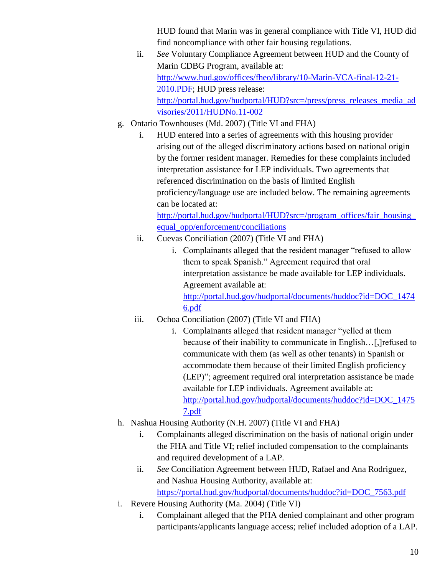HUD found that Marin was in general compliance with Title VI, HUD did find noncompliance with other fair housing regulations.

- ii. *See* Voluntary Compliance Agreement between HUD and the County of Marin CDBG Program, available at: [http://www.hud.gov/offices/fheo/library/10-Marin-VCA-final-12-21-](http://www.hud.gov/offices/fheo/library/10-Marin-VCA-final-12-21-2010.PDF) [2010.PDF;](http://www.hud.gov/offices/fheo/library/10-Marin-VCA-final-12-21-2010.PDF) HUD press release: [http://portal.hud.gov/hudportal/HUD?src=/press/press\\_releases\\_media\\_ad](http://portal.hud.gov/hudportal/HUD?src=/press/press_releases_media_advisories/2011/HUDNo.11-002) [visories/2011/HUDNo.11-002](http://portal.hud.gov/hudportal/HUD?src=/press/press_releases_media_advisories/2011/HUDNo.11-002)
- g. Ontario Townhouses (Md. 2007) (Title VI and FHA)
	- i. HUD entered into a series of agreements with this housing provider arising out of the alleged discriminatory actions based on national origin by the former resident manager. Remedies for these complaints included interpretation assistance for LEP individuals. Two agreements that referenced discrimination on the basis of limited English proficiency/language use are included below. The remaining agreements can be located at:

[http://portal.hud.gov/hudportal/HUD?src=/program\\_offices/fair\\_housing\\_](http://portal.hud.gov/hudportal/HUD?src=/program_offices/fair_housing_equal_opp/enforcement/conciliations) [equal\\_opp/enforcement/conciliations](http://portal.hud.gov/hudportal/HUD?src=/program_offices/fair_housing_equal_opp/enforcement/conciliations)

- ii. Cuevas Conciliation (2007) (Title VI and FHA)
	- i. Complainants alleged that the resident manager "refused to allow them to speak Spanish." Agreement required that oral interpretation assistance be made available for LEP individuals. Agreement available at: [http://portal.hud.gov/hudportal/documents/huddoc?id=DOC\\_1474](http://portal.hud.gov/hudportal/documents/huddoc?id=DOC_14746.pdf) [6.pdf](http://portal.hud.gov/hudportal/documents/huddoc?id=DOC_14746.pdf)
- iii. Ochoa Conciliation (2007) (Title VI and FHA)
	- i. Complainants alleged that resident manager "yelled at them because of their inability to communicate in English…[,]refused to communicate with them (as well as other tenants) in Spanish or accommodate them because of their limited English proficiency (LEP)"; agreement required oral interpretation assistance be made available for LEP individuals. Agreement available at: [http://portal.hud.gov/hudportal/documents/huddoc?id=DOC\\_1475](http://portal.hud.gov/hudportal/documents/huddoc?id=DOC_14757.pdf) [7.pdf](http://portal.hud.gov/hudportal/documents/huddoc?id=DOC_14757.pdf)
- h. Nashua Housing Authority (N.H. 2007) (Title VI and FHA)
	- i. Complainants alleged discrimination on the basis of national origin under the FHA and Title VI; relief included compensation to the complainants and required development of a LAP.
	- ii. *See* Conciliation Agreement between HUD, Rafael and Ana Rodriguez, and Nashua Housing Authority, available at: [https://portal.hud.gov/hudportal/documents/huddoc?id=DOC\\_7563.pdf](https://portal.hud.gov/hudportal/documents/huddoc?id=DOC_7563.pdf)
- i. Revere Housing Authority (Ma. 2004) (Title VI)
	- i. Complainant alleged that the PHA denied complainant and other program participants/applicants language access; relief included adoption of a LAP.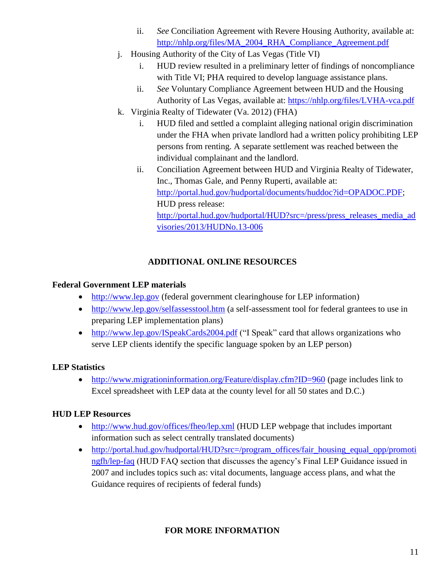- ii. *See* Conciliation Agreement with Revere Housing Authority, available at: [http://nhlp.org/files/MA\\_2004\\_RHA\\_Compliance\\_Agreement.pdf](http://nhlp.org/files/MA_2004_RHA_Compliance_Agreement.pdf)
- j. Housing Authority of the City of Las Vegas (Title VI)
	- i. HUD review resulted in a preliminary letter of findings of noncompliance with Title VI; PHA required to develop language assistance plans.
	- ii. *See* Voluntary Compliance Agreement between HUD and the Housing Authority of Las Vegas, available at:<https://nhlp.org/files/LVHA-vca.pdf>
- k. Virginia Realty of Tidewater (Va. 2012) (FHA)
	- i. HUD filed and settled a complaint alleging national origin discrimination under the FHA when private landlord had a written policy prohibiting LEP persons from renting. A separate settlement was reached between the individual complainant and the landlord.
	- ii. Conciliation Agreement between HUD and Virginia Realty of Tidewater, Inc., Thomas Gale, and Penny Ruperti, available at: [http://portal.hud.gov/hudportal/documents/huddoc?id=OPADOC.PDF;](http://portal.hud.gov/hudportal/documents/huddoc?id=OPADOC.PDF) HUD press release: [http://portal.hud.gov/hudportal/HUD?src=/press/press\\_releases\\_media\\_ad](http://portal.hud.gov/hudportal/HUD?src=/press/press_releases_media_advisories/2013/HUDNo.13-006) [visories/2013/HUDNo.13-006](http://portal.hud.gov/hudportal/HUD?src=/press/press_releases_media_advisories/2013/HUDNo.13-006)

# **ADDITIONAL ONLINE RESOURCES**

## **Federal Government LEP materials**

- [http://www.lep.gov](http://www.lep.gov/) (federal government clearinghouse for LEP information)
- <http://www.lep.gov/selfassesstool.htm> (a self-assessment tool for federal grantees to use in preparing LEP implementation plans)
- <http://www.lep.gov/ISpeakCards2004.pdf> ("I Speak" card that allows organizations who serve LEP clients identify the specific language spoken by an LEP person)

## **LEP Statistics**

• <http://www.migrationinformation.org/Feature/display.cfm?ID=960> (page includes link to Excel spreadsheet with LEP data at the county level for all 50 states and D.C.)

## **HUD LEP Resources**

- <http://www.hud.gov/offices/fheo/lep.xml> (HUD LEP webpage that includes important information such as select centrally translated documents)
- [http://portal.hud.gov/hudportal/HUD?src=/program\\_offices/fair\\_housing\\_equal\\_opp/promoti](http://portal.hud.gov/hudportal/HUD?src=/program_offices/fair_housing_equal_opp/promotingfh/lep-faq) [ngfh/lep-faq](http://portal.hud.gov/hudportal/HUD?src=/program_offices/fair_housing_equal_opp/promotingfh/lep-faq) (HUD FAQ section that discusses the agency's Final LEP Guidance issued in 2007 and includes topics such as: vital documents, language access plans, and what the Guidance requires of recipients of federal funds)

# **FOR MORE INFORMATION**